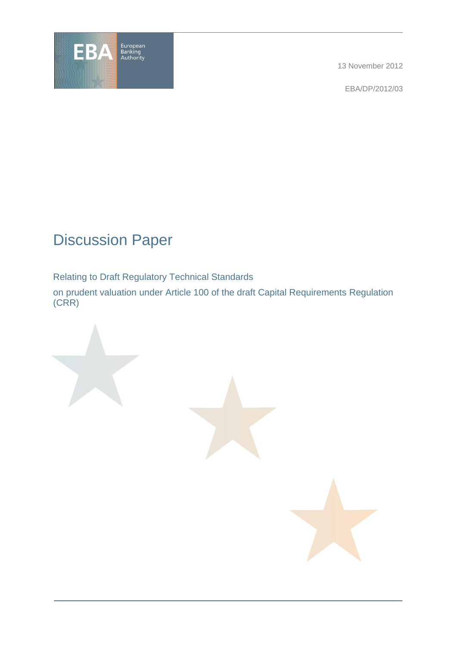

13 November 2012

EBA/DP/2012/03

# Discussion Paper

Relating to Draft Regulatory Technical Standards

on prudent valuation under Article 100 of the draft Capital Requirements Regulation (CRR)

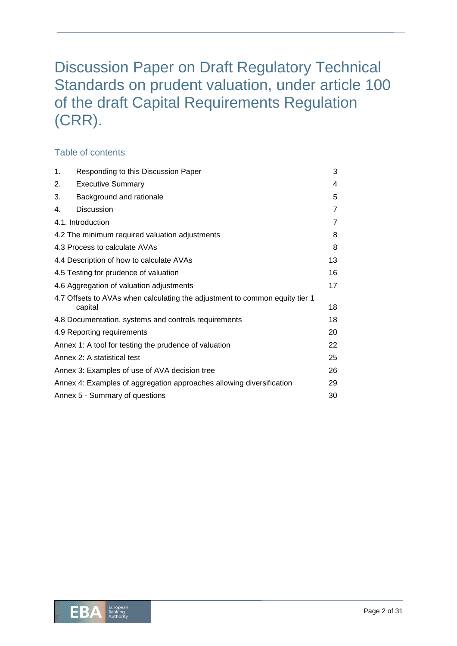# Discussion Paper on Draft Regulatory Technical Standards on prudent valuation, under article 100 of the draft Capital Requirements Regulation (CRR).

### Table of contents

| 1.                                                                   | Responding to this Discussion Paper                                                    | 3  |  |  |
|----------------------------------------------------------------------|----------------------------------------------------------------------------------------|----|--|--|
| 2.                                                                   | <b>Executive Summary</b>                                                               | 4  |  |  |
| 3.                                                                   | Background and rationale                                                               | 5  |  |  |
| 4.                                                                   | <b>Discussion</b>                                                                      | 7  |  |  |
| 4.1. Introduction                                                    |                                                                                        |    |  |  |
|                                                                      | 4.2 The minimum required valuation adjustments                                         | 8  |  |  |
| 4.3 Process to calculate AVAs                                        |                                                                                        |    |  |  |
| 4.4 Description of how to calculate AVAs                             |                                                                                        |    |  |  |
| 4.5 Testing for prudence of valuation                                |                                                                                        |    |  |  |
| 4.6 Aggregation of valuation adjustments                             |                                                                                        |    |  |  |
|                                                                      | 4.7 Offsets to AVAs when calculating the adjustment to common equity tier 1<br>capital | 18 |  |  |
| 4.8 Documentation, systems and controls requirements                 |                                                                                        |    |  |  |
| 4.9 Reporting requirements                                           |                                                                                        |    |  |  |
| Annex 1: A tool for testing the prudence of valuation                |                                                                                        |    |  |  |
| Annex 2: A statistical test                                          |                                                                                        |    |  |  |
| Annex 3: Examples of use of AVA decision tree                        |                                                                                        |    |  |  |
| Annex 4: Examples of aggregation approaches allowing diversification |                                                                                        |    |  |  |
| Annex 5 - Summary of questions                                       |                                                                                        |    |  |  |

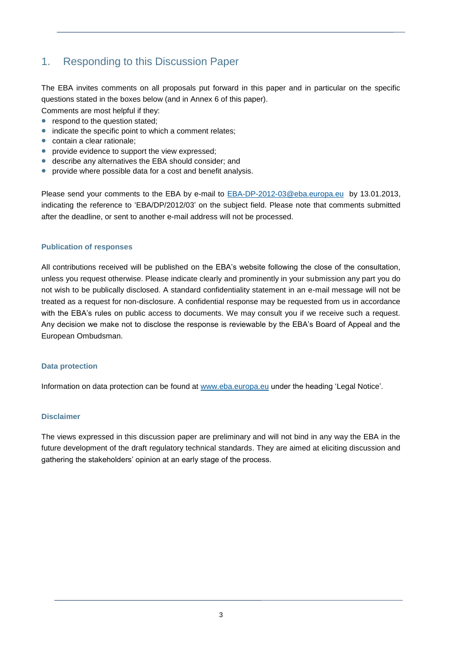# 1. Responding to this Discussion Paper

The EBA invites comments on all proposals put forward in this paper and in particular on the specific questions stated in the boxes below (and in Annex 6 of this paper).

Comments are most helpful if they:

- respond to the question stated;
- indicate the specific point to which a comment relates;
- contain a clear rationale:
- provide evidence to support the view expressed:
- describe any alternatives the EBA should consider; and
- provide where possible data for a cost and benefit analysis.

Please send your comments to the EBA by e-mail to [EBA-DP-2012-03@eba.europa.eu](mailto:EBA-DP-2012-03@eba.europa.eu) by 13.01.2013, indicating the reference to 'EBA/DP/2012/03' on the subject field. Please note that comments submitted after the deadline, or sent to another e-mail address will not be processed.

#### **Publication of responses**

All contributions received will be published on the EBA's website following the close of the consultation, unless you request otherwise. Please indicate clearly and prominently in your submission any part you do not wish to be publically disclosed. A standard confidentiality statement in an e-mail message will not be treated as a request for non-disclosure. A confidential response may be requested from us in accordance with the EBA's rules on public access to documents. We may consult you if we receive such a request. Any decision we make not to disclose the response is reviewable by the EBA's Board of Appeal and the European Ombudsman.

#### **Data protection**

Information on data protection can be found at [www.eba.europa.eu](http://www.eba.europa.eu/) under the heading 'Legal Notice'.

#### **Disclaimer**

The views expressed in this discussion paper are preliminary and will not bind in any way the EBA in the future development of the draft regulatory technical standards. They are aimed at eliciting discussion and gathering the stakeholders' opinion at an early stage of the process.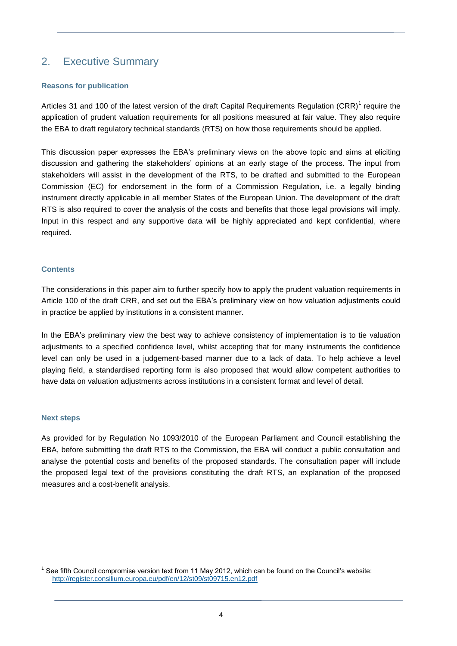# 2. Executive Summary

#### **Reasons for publication**

Articles 31 and 100 of the latest version of the draft Capital Requirements Regulation (CRR)<sup>1</sup> require the application of prudent valuation requirements for all positions measured at fair value. They also require the EBA to draft regulatory technical standards (RTS) on how those requirements should be applied.

This discussion paper expresses the EBA's preliminary views on the above topic and aims at eliciting discussion and gathering the stakeholders' opinions at an early stage of the process. The input from stakeholders will assist in the development of the RTS, to be drafted and submitted to the European Commission (EC) for endorsement in the form of a Commission Regulation, i.e. a legally binding instrument directly applicable in all member States of the European Union. The development of the draft RTS is also required to cover the analysis of the costs and benefits that those legal provisions will imply. Input in this respect and any supportive data will be highly appreciated and kept confidential, where required.

#### **Contents**

The considerations in this paper aim to further specify how to apply the prudent valuation requirements in Article 100 of the draft CRR, and set out the EBA's preliminary view on how valuation adjustments could in practice be applied by institutions in a consistent manner.

In the EBA's preliminary view the best way to achieve consistency of implementation is to tie valuation adjustments to a specified confidence level, whilst accepting that for many instruments the confidence level can only be used in a judgement-based manner due to a lack of data. To help achieve a level playing field, a standardised reporting form is also proposed that would allow competent authorities to have data on valuation adjustments across institutions in a consistent format and level of detail.

#### **Next steps**

As provided for by Regulation No 1093/2010 of the European Parliament and Council establishing the EBA, before submitting the draft RTS to the Commission, the EBA will conduct a public consultation and analyse the potential costs and benefits of the proposed standards. The consultation paper will include the proposed legal text of the provisions constituting the draft RTS, an explanation of the proposed measures and a cost-benefit analysis.

 1 See fifth Council compromise version text from 11 May 2012, which can be found on the Council's website: <http://register.consilium.europa.eu/pdf/en/12/st09/st09715.en12.pdf>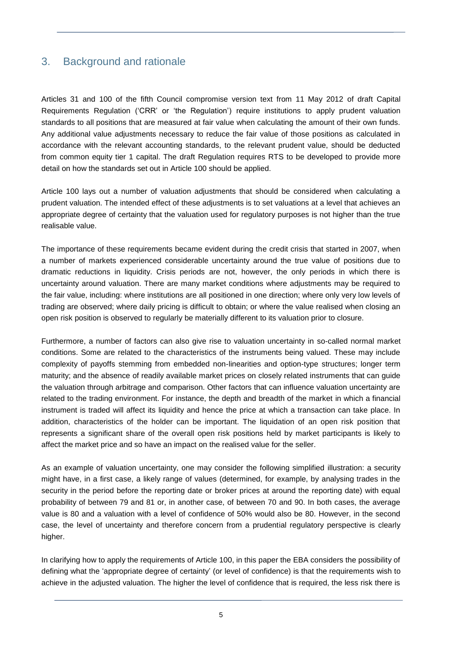## 3. Background and rationale

Articles 31 and 100 of the fifth Council compromise version text from 11 May 2012 of draft Capital Requirements Regulation ('CRR' or 'the Regulation') require institutions to apply prudent valuation standards to all positions that are measured at fair value when calculating the amount of their own funds. Any additional value adjustments necessary to reduce the fair value of those positions as calculated in accordance with the relevant accounting standards, to the relevant prudent value, should be deducted from common equity tier 1 capital. The draft Regulation requires RTS to be developed to provide more detail on how the standards set out in Article 100 should be applied.

Article 100 lays out a number of valuation adjustments that should be considered when calculating a prudent valuation. The intended effect of these adjustments is to set valuations at a level that achieves an appropriate degree of certainty that the valuation used for regulatory purposes is not higher than the true realisable value.

The importance of these requirements became evident during the credit crisis that started in 2007, when a number of markets experienced considerable uncertainty around the true value of positions due to dramatic reductions in liquidity. Crisis periods are not, however, the only periods in which there is uncertainty around valuation. There are many market conditions where adjustments may be required to the fair value, including: where institutions are all positioned in one direction; where only very low levels of trading are observed; where daily pricing is difficult to obtain; or where the value realised when closing an open risk position is observed to regularly be materially different to its valuation prior to closure.

Furthermore, a number of factors can also give rise to valuation uncertainty in so-called normal market conditions. Some are related to the characteristics of the instruments being valued. These may include complexity of payoffs stemming from embedded non-linearities and option-type structures; longer term maturity; and the absence of readily available market prices on closely related instruments that can guide the valuation through arbitrage and comparison. Other factors that can influence valuation uncertainty are related to the trading environment. For instance, the depth and breadth of the market in which a financial instrument is traded will affect its liquidity and hence the price at which a transaction can take place. In addition, characteristics of the holder can be important. The liquidation of an open risk position that represents a significant share of the overall open risk positions held by market participants is likely to affect the market price and so have an impact on the realised value for the seller.

As an example of valuation uncertainty, one may consider the following simplified illustration: a security might have, in a first case, a likely range of values (determined, for example, by analysing trades in the security in the period before the reporting date or broker prices at around the reporting date) with equal probability of between 79 and 81 or, in another case, of between 70 and 90. In both cases, the average value is 80 and a valuation with a level of confidence of 50% would also be 80. However, in the second case, the level of uncertainty and therefore concern from a prudential regulatory perspective is clearly higher.

In clarifying how to apply the requirements of Article 100, in this paper the EBA considers the possibility of defining what the 'appropriate degree of certainty' (or level of confidence) is that the requirements wish to achieve in the adjusted valuation. The higher the level of confidence that is required, the less risk there is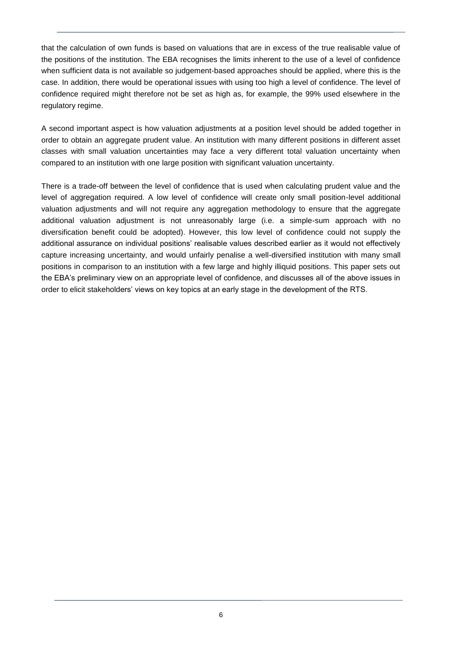that the calculation of own funds is based on valuations that are in excess of the true realisable value of the positions of the institution. The EBA recognises the limits inherent to the use of a level of confidence when sufficient data is not available so judgement-based approaches should be applied, where this is the case. In addition, there would be operational issues with using too high a level of confidence. The level of confidence required might therefore not be set as high as, for example, the 99% used elsewhere in the regulatory regime.

A second important aspect is how valuation adjustments at a position level should be added together in order to obtain an aggregate prudent value. An institution with many different positions in different asset classes with small valuation uncertainties may face a very different total valuation uncertainty when compared to an institution with one large position with significant valuation uncertainty.

There is a trade-off between the level of confidence that is used when calculating prudent value and the level of aggregation required. A low level of confidence will create only small position-level additional valuation adjustments and will not require any aggregation methodology to ensure that the aggregate additional valuation adjustment is not unreasonably large (i.e. a simple-sum approach with no diversification benefit could be adopted). However, this low level of confidence could not supply the additional assurance on individual positions' realisable values described earlier as it would not effectively capture increasing uncertainty, and would unfairly penalise a well-diversified institution with many small positions in comparison to an institution with a few large and highly illiquid positions. This paper sets out the EBA's preliminary view on an appropriate level of confidence, and discusses all of the above issues in order to elicit stakeholders' views on key topics at an early stage in the development of the RTS.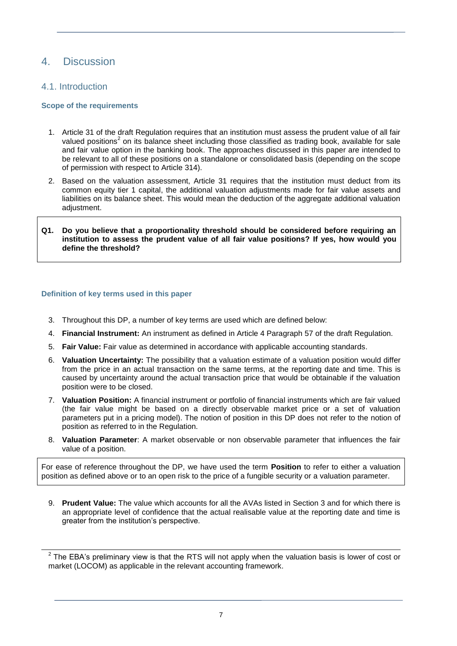### 4. Discussion

### 4.1. Introduction

 $\overline{a}$ 

#### **Scope of the requirements**

- 1. Article 31 of the draft Regulation requires that an institution must assess the prudent value of all fair valued positions<sup>2</sup> on its balance sheet including those classified as trading book, available for sale and fair value option in the banking book. The approaches discussed in this paper are intended to be relevant to all of these positions on a standalone or consolidated basis (depending on the scope of permission with respect to Article 314).
- 2. Based on the valuation assessment, Article 31 requires that the institution must deduct from its common equity tier 1 capital, the additional valuation adjustments made for fair value assets and liabilities on its balance sheet. This would mean the deduction of the aggregate additional valuation adiustment.

#### **Q1. Do you believe that a proportionality threshold should be considered before requiring an institution to assess the prudent value of all fair value positions? If yes, how would you define the threshold?**

#### **Definition of key terms used in this paper**

- 3. Throughout this DP, a number of key terms are used which are defined below:
- 4. **Financial Instrument:** An instrument as defined in Article 4 Paragraph 57 of the draft Regulation.
- 5. **Fair Value:** Fair value as determined in accordance with applicable accounting standards.
- 6. **Valuation Uncertainty:** The possibility that a valuation estimate of a valuation position would differ from the price in an actual transaction on the same terms, at the reporting date and time. This is caused by uncertainty around the actual transaction price that would be obtainable if the valuation position were to be closed.
- 7. **Valuation Position:** A financial instrument or portfolio of financial instruments which are fair valued (the fair value might be based on a directly observable market price or a set of valuation parameters put in a pricing model). The notion of position in this DP does not refer to the notion of position as referred to in the Regulation.
- 8. **Valuation Parameter**: A market observable or non observable parameter that influences the fair value of a position.

For ease of reference throughout the DP, we have used the term **Position** to refer to either a valuation position as defined above or to an open risk to the price of a fungible security or a valuation parameter.

9. **Prudent Value:** The value which accounts for all the AVAs listed in Section 3 and for which there is an appropriate level of confidence that the actual realisable value at the reporting date and time is greater from the institution's perspective.

 $2$  The EBA's preliminary view is that the RTS will not apply when the valuation basis is lower of cost or market (LOCOM) as applicable in the relevant accounting framework.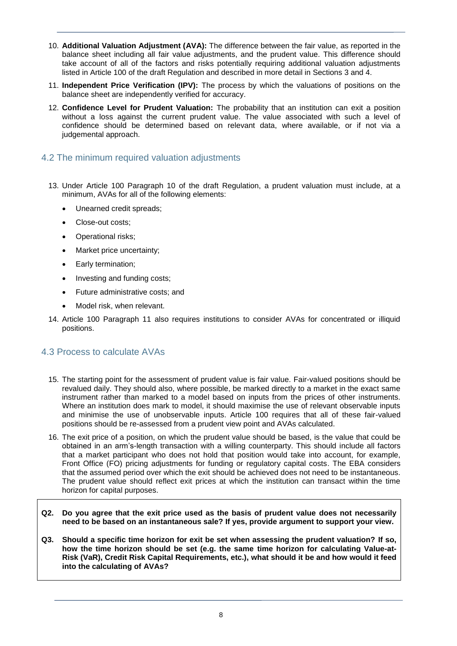- 10. **Additional Valuation Adjustment (AVA):** The difference between the fair value, as reported in the balance sheet including all fair value adjustments, and the prudent value. This difference should take account of all of the factors and risks potentially requiring additional valuation adjustments listed in Article 100 of the draft Regulation and described in more detail in Sections 3 and 4.
- 11. **Independent Price Verification (IPV):** The process by which the valuations of positions on the balance sheet are independently verified for accuracy.
- 12. **Confidence Level for Prudent Valuation:** The probability that an institution can exit a position without a loss against the current prudent value. The value associated with such a level of confidence should be determined based on relevant data, where available, or if not via a judgemental approach.

### 4.2 The minimum required valuation adjustments

- 13. Under Article 100 Paragraph 10 of the draft Regulation, a prudent valuation must include, at a minimum, AVAs for all of the following elements:
	- Unearned credit spreads;
	- Close-out costs;
	- Operational risks;
	- Market price uncertainty;
	- Early termination;
	- Investing and funding costs;
	- Future administrative costs; and
	- Model risk, when relevant.
- 14. Article 100 Paragraph 11 also requires institutions to consider AVAs for concentrated or illiquid positions.

### 4.3 Process to calculate AVAs

- 15. The starting point for the assessment of prudent value is fair value. Fair-valued positions should be revalued daily. They should also, where possible, be marked directly to a market in the exact same instrument rather than marked to a model based on inputs from the prices of other instruments. Where an institution does mark to model, it should maximise the use of relevant observable inputs and minimise the use of unobservable inputs. Article 100 requires that all of these fair-valued positions should be re-assessed from a prudent view point and AVAs calculated.
- 16. The exit price of a position, on which the prudent value should be based, is the value that could be obtained in an arm's-length transaction with a willing counterparty. This should include all factors that a market participant who does not hold that position would take into account, for example, Front Office (FO) pricing adjustments for funding or regulatory capital costs. The EBA considers that the assumed period over which the exit should be achieved does not need to be instantaneous. The prudent value should reflect exit prices at which the institution can transact within the time horizon for capital purposes.
- **Q2. Do you agree that the exit price used as the basis of prudent value does not necessarily need to be based on an instantaneous sale? If yes, provide argument to support your view.**
- **Q3. Should a specific time horizon for exit be set when assessing the prudent valuation? If so, how the time horizon should be set (e.g. the same time horizon for calculating Value-at-Risk (VaR), Credit Risk Capital Requirements, etc.), what should it be and how would it feed into the calculating of AVAs?**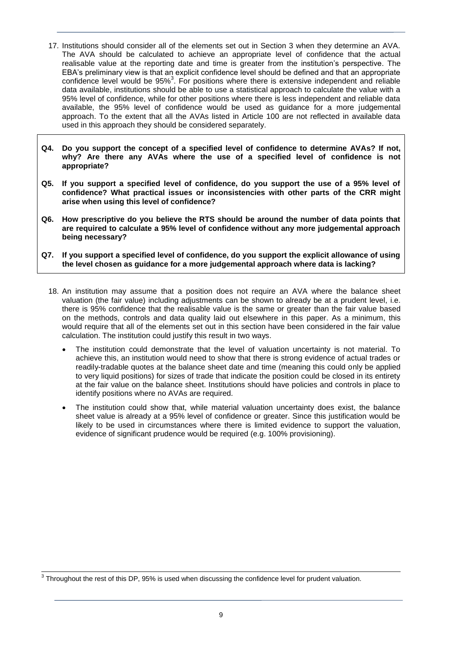- 17. Institutions should consider all of the elements set out in Section 3 when they determine an AVA. The AVA should be calculated to achieve an appropriate level of confidence that the actual realisable value at the reporting date and time is greater from the institution's perspective. The EBA's preliminary view is that an explicit confidence level should be defined and that an appropriate confidence level would be 95%<sup>3</sup>. For positions where there is extensive independent and reliable data available, institutions should be able to use a statistical approach to calculate the value with a 95% level of confidence, while for other positions where there is less independent and reliable data available, the 95% level of confidence would be used as guidance for a more judgemental approach. To the extent that all the AVAs listed in Article 100 are not reflected in available data used in this approach they should be considered separately.
- **Q4. Do you support the concept of a specified level of confidence to determine AVAs? If not, why? Are there any AVAs where the use of a specified level of confidence is not appropriate?**
- **Q5. If you support a specified level of confidence, do you support the use of a 95% level of confidence? What practical issues or inconsistencies with other parts of the CRR might arise when using this level of confidence?**
- **Q6. How prescriptive do you believe the RTS should be around the number of data points that are required to calculate a 95% level of confidence without any more judgemental approach being necessary?**
- **Q7. If you support a specified level of confidence, do you support the explicit allowance of using the level chosen as guidance for a more judgemental approach where data is lacking?**
	- 18. An institution may assume that a position does not require an AVA where the balance sheet valuation (the fair value) including adjustments can be shown to already be at a prudent level, i.e. there is 95% confidence that the realisable value is the same or greater than the fair value based on the methods, controls and data quality laid out elsewhere in this paper. As a minimum, this would require that all of the elements set out in this section have been considered in the fair value calculation. The institution could justify this result in two ways.
		- The institution could demonstrate that the level of valuation uncertainty is not material. To achieve this, an institution would need to show that there is strong evidence of actual trades or readily-tradable quotes at the balance sheet date and time (meaning this could only be applied to very liquid positions) for sizes of trade that indicate the position could be closed in its entirety at the fair value on the balance sheet. Institutions should have policies and controls in place to identify positions where no AVAs are required.
		- The institution could show that, while material valuation uncertainty does exist, the balance sheet value is already at a 95% level of confidence or greater. Since this justification would be likely to be used in circumstances where there is limited evidence to support the valuation, evidence of significant prudence would be required (e.g. 100% provisioning).

 $\overline{\phantom{a}}$  $3$  Throughout the rest of this DP, 95% is used when discussing the confidence level for prudent valuation.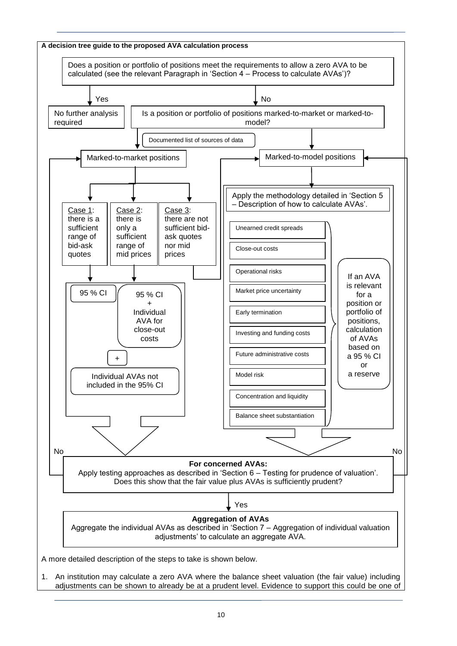

10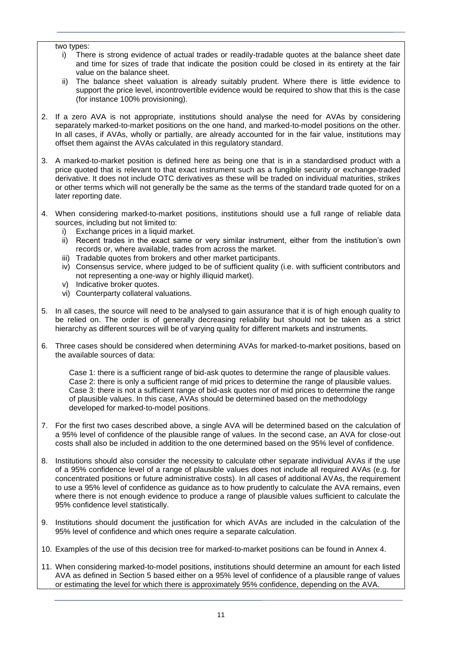#### two types:

- i) There is strong evidence of actual trades or readily-tradable quotes at the balance sheet date and time for sizes of trade that indicate the position could be closed in its entirety at the fair value on the balance sheet.
- ii) The balance sheet valuation is already suitably prudent. Where there is little evidence to support the price level, incontrovertible evidence would be required to show that this is the case (for instance 100% provisioning).
- 2. If a zero AVA is not appropriate, institutions should analyse the need for AVAs by considering separately marked-to-market positions on the one hand, and marked-to-model positions on the other. In all cases, if AVAs, wholly or partially, are already accounted for in the fair value, institutions may offset them against the AVAs calculated in this regulatory standard.
- 3. A marked-to-market position is defined here as being one that is in a standardised product with a price quoted that is relevant to that exact instrument such as a fungible security or exchange-traded derivative. It does not include OTC derivatives as these will be traded on individual maturities, strikes or other terms which will not generally be the same as the terms of the standard trade quoted for on a later reporting date.
- 4. When considering marked-to-market positions, institutions should use a full range of reliable data sources, including but not limited to:
	- i) Exchange prices in a liquid market.
	- ii) Recent trades in the exact same or very similar instrument, either from the institution's own records or, where available, trades from across the market.
	- iii) Tradable quotes from brokers and other market participants.
	- iv) Consensus service, where judged to be of sufficient quality (i.e. with sufficient contributors and not representing a one-way or highly illiquid market).
	- v) Indicative broker quotes.
	- vi) Counterparty collateral valuations.
- 5. In all cases, the source will need to be analysed to gain assurance that it is of high enough quality to be relied on. The order is of generally decreasing reliability but should not be taken as a strict hierarchy as different sources will be of varying quality for different markets and instruments.
- 6. Three cases should be considered when determining AVAs for marked-to-market positions, based on the available sources of data:

Case 1: there is a sufficient range of bid-ask quotes to determine the range of plausible values. Case 2: there is only a sufficient range of mid prices to determine the range of plausible values. Case 3: there is not a sufficient range of bid-ask quotes nor of mid prices to determine the range of plausible values. In this case, AVAs should be determined based on the methodology developed for marked-to-model positions.

- 7. For the first two cases described above, a single AVA will be determined based on the calculation of a 95% level of confidence of the plausible range of values. In the second case, an AVA for close-out costs shall also be included in addition to the one determined based on the 95% level of confidence.
- 8. Institutions should also consider the necessity to calculate other separate individual AVAs if the use of a 95% confidence level of a range of plausible values does not include all required AVAs (e.g. for concentrated positions or future administrative costs). In all cases of additional AVAs, the requirement to use a 95% level of confidence as guidance as to how prudently to calculate the AVA remains, even where there is not enough evidence to produce a range of plausible values sufficient to calculate the 95% confidence level statistically.
- 9. Institutions should document the justification for which AVAs are included in the calculation of the 95% level of confidence and which ones require a separate calculation.
- 10. Examples of the use of this decision tree for marked-to-market positions can be found in Annex 4.
- 11. When considering marked-to-model positions, institutions should determine an amount for each listed AVA as defined in Section 5 based either on a 95% level of confidence of a plausible range of values or estimating the level for which there is approximately 95% confidence, depending on the AVA.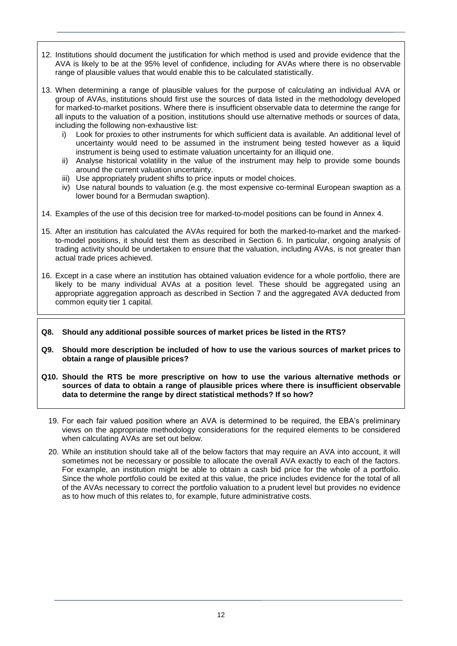- 12. Institutions should document the justification for which method is used and provide evidence that the AVA is likely to be at the 95% level of confidence, including for AVAs where there is no observable range of plausible values that would enable this to be calculated statistically.
- 13. When determining a range of plausible values for the purpose of calculating an individual AVA or group of AVAs, institutions should first use the sources of data listed in the methodology developed for marked-to-market positions. Where there is insufficient observable data to determine the range for all inputs to the valuation of a position, institutions should use alternative methods or sources of data, including the following non-exhaustive list:
	- i) Look for proxies to other instruments for which sufficient data is available. An additional level of uncertainty would need to be assumed in the instrument being tested however as a liquid instrument is being used to estimate valuation uncertainty for an illiquid one.
	- ii) Analyse historical volatility in the value of the instrument may help to provide some bounds around the current valuation uncertainty.
	- iii) Use appropriately prudent shifts to price inputs or model choices.
	- iv) Use natural bounds to valuation (e.g. the most expensive co-terminal European swaption as a lower bound for a Bermudan swaption).
- 14. Examples of the use of this decision tree for marked-to-model positions can be found in Annex 4.
- 15. After an institution has calculated the AVAs required for both the marked-to-market and the markedto-model positions, it should test them as described in Section 6. In particular, ongoing analysis of trading activity should be undertaken to ensure that the valuation, including AVAs, is not greater than actual trade prices achieved.
- 16. Except in a case where an institution has obtained valuation evidence for a whole portfolio, there are likely to be many individual AVAs at a position level. These should be aggregated using an appropriate aggregation approach as described in Section 7 and the aggregated AVA deducted from common equity tier 1 capital.
- **Q8. Should any additional possible sources of market prices be listed in the RTS?**
- **Q9. Should more description be included of how to use the various sources of market prices to obtain a range of plausible prices?**
- **Q10. Should the RTS be more prescriptive on how to use the various alternative methods or sources of data to obtain a range of plausible prices where there is insufficient observable data to determine the range by direct statistical methods? If so how?**
	- 19. For each fair valued position where an AVA is determined to be required, the EBA's preliminary views on the appropriate methodology considerations for the required elements to be considered when calculating AVAs are set out below.
	- 20. While an institution should take all of the below factors that may require an AVA into account, it will sometimes not be necessary or possible to allocate the overall AVA exactly to each of the factors. For example, an institution might be able to obtain a cash bid price for the whole of a portfolio. Since the whole portfolio could be exited at this value, the price includes evidence for the total of all of the AVAs necessary to correct the portfolio valuation to a prudent level but provides no evidence as to how much of this relates to, for example, future administrative costs.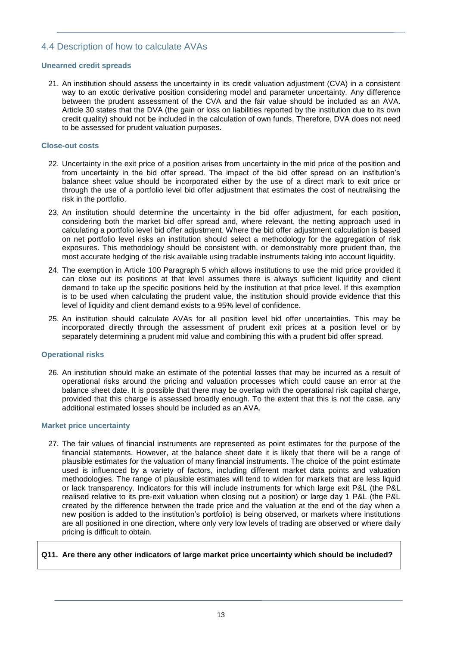### 4.4 Description of how to calculate AVAs

#### **Unearned credit spreads**

21. An institution should assess the uncertainty in its credit valuation adjustment (CVA) in a consistent way to an exotic derivative position considering model and parameter uncertainty. Any difference between the prudent assessment of the CVA and the fair value should be included as an AVA. Article 30 states that the DVA (the gain or loss on liabilities reported by the institution due to its own credit quality) should not be included in the calculation of own funds. Therefore, DVA does not need to be assessed for prudent valuation purposes.

#### **Close-out costs**

- 22. Uncertainty in the exit price of a position arises from uncertainty in the mid price of the position and from uncertainty in the bid offer spread. The impact of the bid offer spread on an institution's balance sheet value should be incorporated either by the use of a direct mark to exit price or through the use of a portfolio level bid offer adjustment that estimates the cost of neutralising the risk in the portfolio.
- 23. An institution should determine the uncertainty in the bid offer adjustment, for each position, considering both the market bid offer spread and, where relevant, the netting approach used in calculating a portfolio level bid offer adjustment. Where the bid offer adjustment calculation is based on net portfolio level risks an institution should select a methodology for the aggregation of risk exposures. This methodology should be consistent with, or demonstrably more prudent than, the most accurate hedging of the risk available using tradable instruments taking into account liquidity.
- 24. The exemption in Article 100 Paragraph 5 which allows institutions to use the mid price provided it can close out its positions at that level assumes there is always sufficient liquidity and client demand to take up the specific positions held by the institution at that price level. If this exemption is to be used when calculating the prudent value, the institution should provide evidence that this level of liquidity and client demand exists to a 95% level of confidence.
- 25. An institution should calculate AVAs for all position level bid offer uncertainties. This may be incorporated directly through the assessment of prudent exit prices at a position level or by separately determining a prudent mid value and combining this with a prudent bid offer spread.

#### **Operational risks**

26. An institution should make an estimate of the potential losses that may be incurred as a result of operational risks around the pricing and valuation processes which could cause an error at the balance sheet date. It is possible that there may be overlap with the operational risk capital charge, provided that this charge is assessed broadly enough. To the extent that this is not the case, any additional estimated losses should be included as an AVA.

#### **Market price uncertainty**

27. The fair values of financial instruments are represented as point estimates for the purpose of the financial statements. However, at the balance sheet date it is likely that there will be a range of plausible estimates for the valuation of many financial instruments. The choice of the point estimate used is influenced by a variety of factors, including different market data points and valuation methodologies. The range of plausible estimates will tend to widen for markets that are less liquid or lack transparency. Indicators for this will include instruments for which large exit P&L (the P&L realised relative to its pre-exit valuation when closing out a position) or large day 1 P&L (the P&L created by the difference between the trade price and the valuation at the end of the day when a new position is added to the institution's portfolio) is being observed, or markets where institutions are all positioned in one direction, where only very low levels of trading are observed or where daily pricing is difficult to obtain.

#### **Q11. Are there any other indicators of large market price uncertainty which should be included?**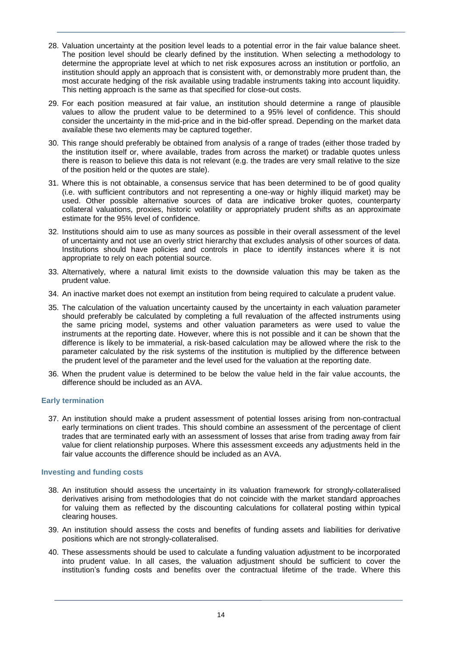- 28. Valuation uncertainty at the position level leads to a potential error in the fair value balance sheet. The position level should be clearly defined by the institution. When selecting a methodology to determine the appropriate level at which to net risk exposures across an institution or portfolio, an institution should apply an approach that is consistent with, or demonstrably more prudent than, the most accurate hedging of the risk available using tradable instruments taking into account liquidity. This netting approach is the same as that specified for close-out costs.
- 29. For each position measured at fair value, an institution should determine a range of plausible values to allow the prudent value to be determined to a 95% level of confidence. This should consider the uncertainty in the mid-price and in the bid-offer spread. Depending on the market data available these two elements may be captured together.
- 30. This range should preferably be obtained from analysis of a range of trades (either those traded by the institution itself or, where available, trades from across the market) or tradable quotes unless there is reason to believe this data is not relevant (e.g. the trades are very small relative to the size of the position held or the quotes are stale).
- 31. Where this is not obtainable, a consensus service that has been determined to be of good quality (i.e. with sufficient contributors and not representing a one-way or highly illiquid market) may be used. Other possible alternative sources of data are indicative broker quotes, counterparty collateral valuations, proxies, historic volatility or appropriately prudent shifts as an approximate estimate for the 95% level of confidence.
- 32. Institutions should aim to use as many sources as possible in their overall assessment of the level of uncertainty and not use an overly strict hierarchy that excludes analysis of other sources of data. Institutions should have policies and controls in place to identify instances where it is not appropriate to rely on each potential source.
- 33. Alternatively, where a natural limit exists to the downside valuation this may be taken as the prudent value.
- 34. An inactive market does not exempt an institution from being required to calculate a prudent value.
- 35. The calculation of the valuation uncertainty caused by the uncertainty in each valuation parameter should preferably be calculated by completing a full revaluation of the affected instruments using the same pricing model, systems and other valuation parameters as were used to value the instruments at the reporting date. However, where this is not possible and it can be shown that the difference is likely to be immaterial, a risk-based calculation may be allowed where the risk to the parameter calculated by the risk systems of the institution is multiplied by the difference between the prudent level of the parameter and the level used for the valuation at the reporting date.
- 36. When the prudent value is determined to be below the value held in the fair value accounts, the difference should be included as an AVA.

#### **Early termination**

37. An institution should make a prudent assessment of potential losses arising from non-contractual early terminations on client trades. This should combine an assessment of the percentage of client trades that are terminated early with an assessment of losses that arise from trading away from fair value for client relationship purposes. Where this assessment exceeds any adjustments held in the fair value accounts the difference should be included as an AVA.

#### **Investing and funding costs**

- 38. An institution should assess the uncertainty in its valuation framework for strongly-collateralised derivatives arising from methodologies that do not coincide with the market standard approaches for valuing them as reflected by the discounting calculations for collateral posting within typical clearing houses.
- 39. An institution should assess the costs and benefits of funding assets and liabilities for derivative positions which are not strongly-collateralised.
- 40. These assessments should be used to calculate a funding valuation adjustment to be incorporated into prudent value. In all cases, the valuation adjustment should be sufficient to cover the institution's funding costs and benefits over the contractual lifetime of the trade. Where this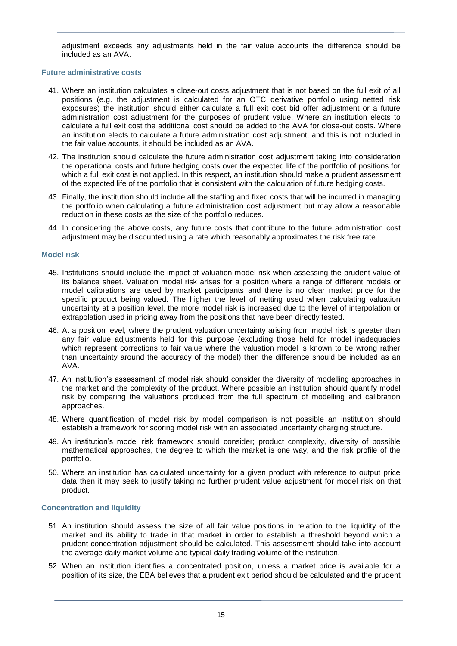adjustment exceeds any adjustments held in the fair value accounts the difference should be included as an AVA.

#### **Future administrative costs**

- 41. Where an institution calculates a close-out costs adjustment that is not based on the full exit of all positions (e.g. the adjustment is calculated for an OTC derivative portfolio using netted risk exposures) the institution should either calculate a full exit cost bid offer adjustment or a future administration cost adjustment for the purposes of prudent value. Where an institution elects to calculate a full exit cost the additional cost should be added to the AVA for close-out costs. Where an institution elects to calculate a future administration cost adjustment, and this is not included in the fair value accounts, it should be included as an AVA.
- 42. The institution should calculate the future administration cost adjustment taking into consideration the operational costs and future hedging costs over the expected life of the portfolio of positions for which a full exit cost is not applied. In this respect, an institution should make a prudent assessment of the expected life of the portfolio that is consistent with the calculation of future hedging costs.
- 43. Finally, the institution should include all the staffing and fixed costs that will be incurred in managing the portfolio when calculating a future administration cost adjustment but may allow a reasonable reduction in these costs as the size of the portfolio reduces.
- 44. In considering the above costs, any future costs that contribute to the future administration cost adjustment may be discounted using a rate which reasonably approximates the risk free rate.

#### **Model risk**

- 45. Institutions should include the impact of valuation model risk when assessing the prudent value of its balance sheet. Valuation model risk arises for a position where a range of different models or model calibrations are used by market participants and there is no clear market price for the specific product being valued. The higher the level of netting used when calculating valuation uncertainty at a position level, the more model risk is increased due to the level of interpolation or extrapolation used in pricing away from the positions that have been directly tested.
- 46. At a position level, where the prudent valuation uncertainty arising from model risk is greater than any fair value adjustments held for this purpose (excluding those held for model inadequacies which represent corrections to fair value where the valuation model is known to be wrong rather than uncertainty around the accuracy of the model) then the difference should be included as an AVA.
- 47. An institution's assessment of model risk should consider the diversity of modelling approaches in the market and the complexity of the product. Where possible an institution should quantify model risk by comparing the valuations produced from the full spectrum of modelling and calibration approaches.
- 48. Where quantification of model risk by model comparison is not possible an institution should establish a framework for scoring model risk with an associated uncertainty charging structure.
- 49. An institution's model risk framework should consider; product complexity, diversity of possible mathematical approaches, the degree to which the market is one way, and the risk profile of the portfolio.
- 50. Where an institution has calculated uncertainty for a given product with reference to output price data then it may seek to justify taking no further prudent value adjustment for model risk on that product.

#### **Concentration and liquidity**

- 51. An institution should assess the size of all fair value positions in relation to the liquidity of the market and its ability to trade in that market in order to establish a threshold beyond which a prudent concentration adjustment should be calculated. This assessment should take into account the average daily market volume and typical daily trading volume of the institution.
- 52. When an institution identifies a concentrated position, unless a market price is available for a position of its size, the EBA believes that a prudent exit period should be calculated and the prudent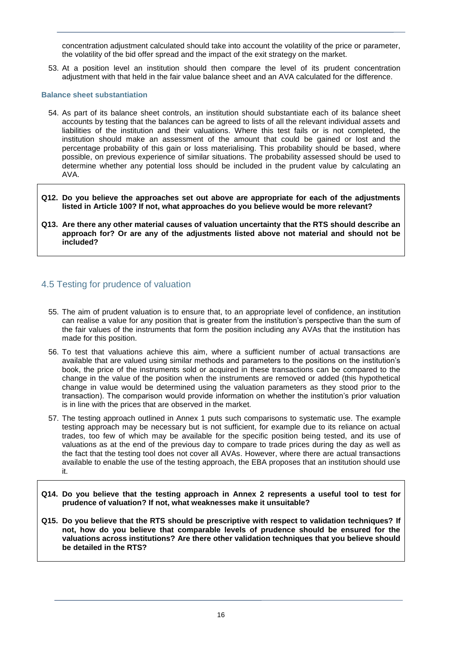concentration adjustment calculated should take into account the volatility of the price or parameter, the volatility of the bid offer spread and the impact of the exit strategy on the market.

53. At a position level an institution should then compare the level of its prudent concentration adjustment with that held in the fair value balance sheet and an AVA calculated for the difference.

#### **Balance sheet substantiation**

- 54. As part of its balance sheet controls, an institution should substantiate each of its balance sheet accounts by testing that the balances can be agreed to lists of all the relevant individual assets and liabilities of the institution and their valuations. Where this test fails or is not completed, the institution should make an assessment of the amount that could be gained or lost and the percentage probability of this gain or loss materialising. This probability should be based, where possible, on previous experience of similar situations. The probability assessed should be used to determine whether any potential loss should be included in the prudent value by calculating an AVA.
- **Q12. Do you believe the approaches set out above are appropriate for each of the adjustments listed in Article 100? If not, what approaches do you believe would be more relevant?**
- **Q13. Are there any other material causes of valuation uncertainty that the RTS should describe an approach for? Or are any of the adjustments listed above not material and should not be included?**

### 4.5 Testing for prudence of valuation

- 55. The aim of prudent valuation is to ensure that, to an appropriate level of confidence, an institution can realise a value for any position that is greater from the institution's perspective than the sum of the fair values of the instruments that form the position including any AVAs that the institution has made for this position.
- 56. To test that valuations achieve this aim, where a sufficient number of actual transactions are available that are valued using similar methods and parameters to the positions on the institution's book, the price of the instruments sold or acquired in these transactions can be compared to the change in the value of the position when the instruments are removed or added (this hypothetical change in value would be determined using the valuation parameters as they stood prior to the transaction). The comparison would provide information on whether the institution's prior valuation is in line with the prices that are observed in the market.
- 57. The testing approach outlined in Annex 1 puts such comparisons to systematic use. The example testing approach may be necessary but is not sufficient, for example due to its reliance on actual trades, too few of which may be available for the specific position being tested, and its use of valuations as at the end of the previous day to compare to trade prices during the day as well as the fact that the testing tool does not cover all AVAs. However, where there are actual transactions available to enable the use of the testing approach, the EBA proposes that an institution should use it.
- **Q14. Do you believe that the testing approach in Annex 2 represents a useful tool to test for prudence of valuation? If not, what weaknesses make it unsuitable?**
- **Q15. Do you believe that the RTS should be prescriptive with respect to validation techniques? If not, how do you believe that comparable levels of prudence should be ensured for the valuations across institutions? Are there other validation techniques that you believe should be detailed in the RTS?**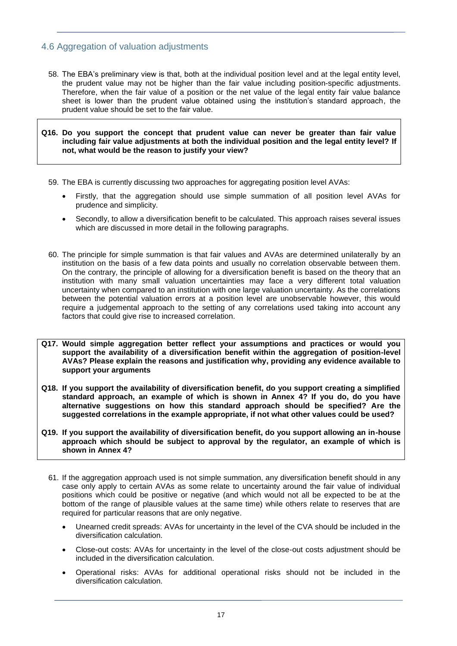### 4.6 Aggregation of valuation adjustments

58. The EBA's preliminary view is that, both at the individual position level and at the legal entity level, the prudent value may not be higher than the fair value including position-specific adjustments. Therefore, when the fair value of a position or the net value of the legal entity fair value balance sheet is lower than the prudent value obtained using the institution's standard approach, the prudent value should be set to the fair value.

**Q16. Do you support the concept that prudent value can never be greater than fair value including fair value adjustments at both the individual position and the legal entity level? If not, what would be the reason to justify your view?**

- 59. The EBA is currently discussing two approaches for aggregating position level AVAs:
	- Firstly, that the aggregation should use simple summation of all position level AVAs for prudence and simplicity.
	- Secondly, to allow a diversification benefit to be calculated. This approach raises several issues which are discussed in more detail in the following paragraphs.
- 60. The principle for simple summation is that fair values and AVAs are determined unilaterally by an institution on the basis of a few data points and usually no correlation observable between them. On the contrary, the principle of allowing for a diversification benefit is based on the theory that an institution with many small valuation uncertainties may face a very different total valuation uncertainty when compared to an institution with one large valuation uncertainty. As the correlations between the potential valuation errors at a position level are unobservable however, this would require a judgemental approach to the setting of any correlations used taking into account any factors that could give rise to increased correlation.
- **Q17. Would simple aggregation better reflect your assumptions and practices or would you support the availability of a diversification benefit within the aggregation of position-level AVAs? Please explain the reasons and justification why, providing any evidence available to support your arguments**
- **Q18. If you support the availability of diversification benefit, do you support creating a simplified standard approach, an example of which is shown in Annex 4? If you do, do you have alternative suggestions on how this standard approach should be specified? Are the suggested correlations in the example appropriate, if not what other values could be used?**
- **Q19. If you support the availability of diversification benefit, do you support allowing an in-house approach which should be subject to approval by the regulator, an example of which is shown in Annex 4?**
	- 61. If the aggregation approach used is not simple summation, any diversification benefit should in any case only apply to certain AVAs as some relate to uncertainty around the fair value of individual positions which could be positive or negative (and which would not all be expected to be at the bottom of the range of plausible values at the same time) while others relate to reserves that are required for particular reasons that are only negative.
		- Unearned credit spreads: AVAs for uncertainty in the level of the CVA should be included in the diversification calculation.
		- Close-out costs: AVAs for uncertainty in the level of the close-out costs adjustment should be included in the diversification calculation.
		- Operational risks: AVAs for additional operational risks should not be included in the diversification calculation.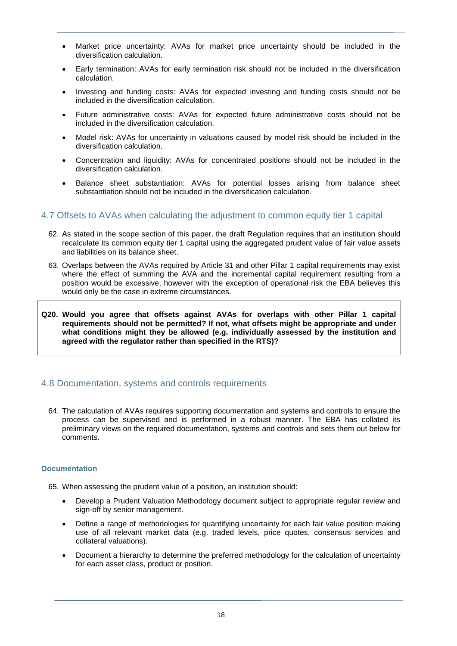- Market price uncertainty: AVAs for market price uncertainty should be included in the diversification calculation.
- Early termination: AVAs for early termination risk should not be included in the diversification calculation.
- Investing and funding costs: AVAs for expected investing and funding costs should not be included in the diversification calculation.
- Future administrative costs: AVAs for expected future administrative costs should not be included in the diversification calculation.
- Model risk: AVAs for uncertainty in valuations caused by model risk should be included in the diversification calculation.
- Concentration and liquidity: AVAs for concentrated positions should not be included in the diversification calculation.
- Balance sheet substantiation: AVAs for potential losses arising from balance sheet substantiation should not be included in the diversification calculation.

#### 4.7 Offsets to AVAs when calculating the adjustment to common equity tier 1 capital

- 62. As stated in the scope section of this paper, the draft Regulation requires that an institution should recalculate its common equity tier 1 capital using the aggregated prudent value of fair value assets and liabilities on its balance sheet.
- 63. Overlaps between the AVAs required by Article 31 and other Pillar 1 capital requirements may exist where the effect of summing the AVA and the incremental capital requirement resulting from a position would be excessive, however with the exception of operational risk the EBA believes this would only be the case in extreme circumstances.
- **Q20. Would you agree that offsets against AVAs for overlaps with other Pillar 1 capital requirements should not be permitted? If not, what offsets might be appropriate and under what conditions might they be allowed (e.g. individually assessed by the institution and agreed with the regulator rather than specified in the RTS)?**

### 4.8 Documentation, systems and controls requirements

64. The calculation of AVAs requires supporting documentation and systems and controls to ensure the process can be supervised and is performed in a robust manner. The EBA has collated its preliminary views on the required documentation, systems and controls and sets them out below for comments.

#### **Documentation**

65. When assessing the prudent value of a position, an institution should:

- Develop a Prudent Valuation Methodology document subject to appropriate regular review and sign-off by senior management.
- Define a range of methodologies for quantifying uncertainty for each fair value position making use of all relevant market data (e.g. traded levels, price quotes, consensus services and collateral valuations).
- Document a hierarchy to determine the preferred methodology for the calculation of uncertainty for each asset class, product or position.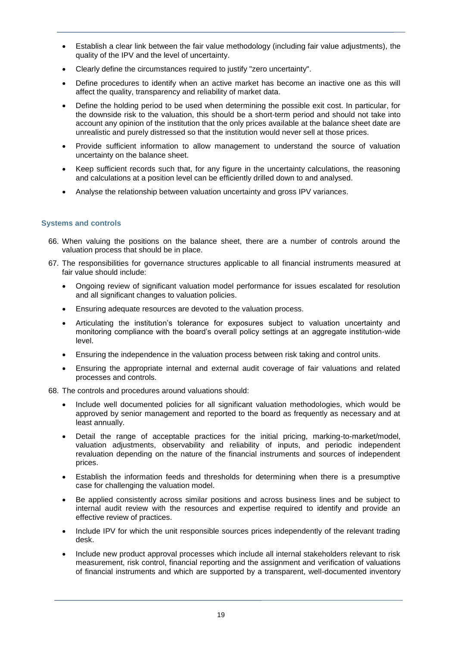- Establish a clear link between the fair value methodology (including fair value adjustments), the quality of the IPV and the level of uncertainty.
- Clearly define the circumstances required to justify "zero uncertainty".
- Define procedures to identify when an active market has become an inactive one as this will affect the quality, transparency and reliability of market data.
- Define the holding period to be used when determining the possible exit cost. In particular, for the downside risk to the valuation, this should be a short-term period and should not take into account any opinion of the institution that the only prices available at the balance sheet date are unrealistic and purely distressed so that the institution would never sell at those prices.
- Provide sufficient information to allow management to understand the source of valuation uncertainty on the balance sheet.
- Keep sufficient records such that, for any figure in the uncertainty calculations, the reasoning and calculations at a position level can be efficiently drilled down to and analysed.
- Analyse the relationship between valuation uncertainty and gross IPV variances.

#### **Systems and controls**

- 66. When valuing the positions on the balance sheet, there are a number of controls around the valuation process that should be in place.
- 67. The responsibilities for governance structures applicable to all financial instruments measured at fair value should include:
	- Ongoing review of significant valuation model performance for issues escalated for resolution and all significant changes to valuation policies.
	- Ensuring adequate resources are devoted to the valuation process.
	- Articulating the institution's tolerance for exposures subject to valuation uncertainty and monitoring compliance with the board's overall policy settings at an aggregate institution-wide level.
	- Ensuring the independence in the valuation process between risk taking and control units.
	- Ensuring the appropriate internal and external audit coverage of fair valuations and related processes and controls.
- 68. The controls and procedures around valuations should:
	- Include well documented policies for all significant valuation methodologies, which would be approved by senior management and reported to the board as frequently as necessary and at least annually.
	- Detail the range of acceptable practices for the initial pricing, marking-to-market/model, valuation adjustments, observability and reliability of inputs, and periodic independent revaluation depending on the nature of the financial instruments and sources of independent prices.
	- Establish the information feeds and thresholds for determining when there is a presumptive case for challenging the valuation model.
	- Be applied consistently across similar positions and across business lines and be subject to internal audit review with the resources and expertise required to identify and provide an effective review of practices.
	- Include IPV for which the unit responsible sources prices independently of the relevant trading desk.
	- Include new product approval processes which include all internal stakeholders relevant to risk measurement, risk control, financial reporting and the assignment and verification of valuations of financial instruments and which are supported by a transparent, well-documented inventory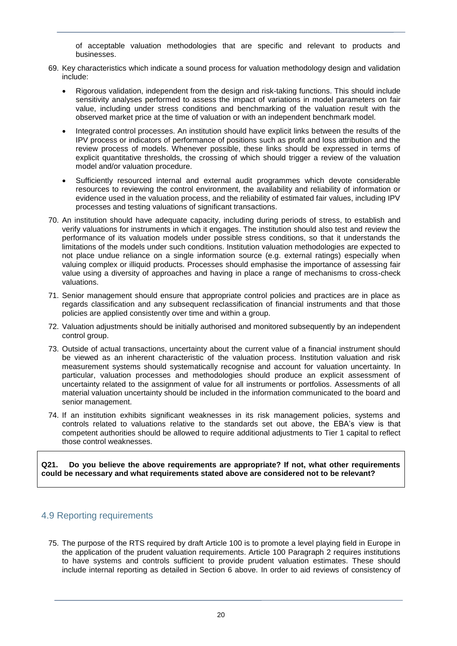of acceptable valuation methodologies that are specific and relevant to products and businesses.

- 69. Key characteristics which indicate a sound process for valuation methodology design and validation include:
	- Rigorous validation, independent from the design and risk-taking functions. This should include sensitivity analyses performed to assess the impact of variations in model parameters on fair value, including under stress conditions and benchmarking of the valuation result with the observed market price at the time of valuation or with an independent benchmark model.
	- Integrated control processes. An institution should have explicit links between the results of the IPV process or indicators of performance of positions such as profit and loss attribution and the review process of models. Whenever possible, these links should be expressed in terms of explicit quantitative thresholds, the crossing of which should trigger a review of the valuation model and/or valuation procedure.
	- Sufficiently resourced internal and external audit programmes which devote considerable resources to reviewing the control environment, the availability and reliability of information or evidence used in the valuation process, and the reliability of estimated fair values, including IPV processes and testing valuations of significant transactions.
- 70. An institution should have adequate capacity, including during periods of stress, to establish and verify valuations for instruments in which it engages. The institution should also test and review the performance of its valuation models under possible stress conditions, so that it understands the limitations of the models under such conditions. Institution valuation methodologies are expected to not place undue reliance on a single information source (e.g. external ratings) especially when valuing complex or illiquid products. Processes should emphasise the importance of assessing fair value using a diversity of approaches and having in place a range of mechanisms to cross-check valuations.
- 71. Senior management should ensure that appropriate control policies and practices are in place as regards classification and any subsequent reclassification of financial instruments and that those policies are applied consistently over time and within a group.
- 72. Valuation adjustments should be initially authorised and monitored subsequently by an independent control group.
- 73. Outside of actual transactions, uncertainty about the current value of a financial instrument should be viewed as an inherent characteristic of the valuation process. Institution valuation and risk measurement systems should systematically recognise and account for valuation uncertainty. In particular, valuation processes and methodologies should produce an explicit assessment of uncertainty related to the assignment of value for all instruments or portfolios. Assessments of all material valuation uncertainty should be included in the information communicated to the board and senior management.
- 74. If an institution exhibits significant weaknesses in its risk management policies, systems and controls related to valuations relative to the standards set out above, the EBA's view is that competent authorities should be allowed to require additional adjustments to Tier 1 capital to reflect those control weaknesses.

**Q21. Do you believe the above requirements are appropriate? If not, what other requirements could be necessary and what requirements stated above are considered not to be relevant?**

### 4.9 Reporting requirements

75. The purpose of the RTS required by draft Article 100 is to promote a level playing field in Europe in the application of the prudent valuation requirements. Article 100 Paragraph 2 requires institutions to have systems and controls sufficient to provide prudent valuation estimates. These should include internal reporting as detailed in Section 6 above. In order to aid reviews of consistency of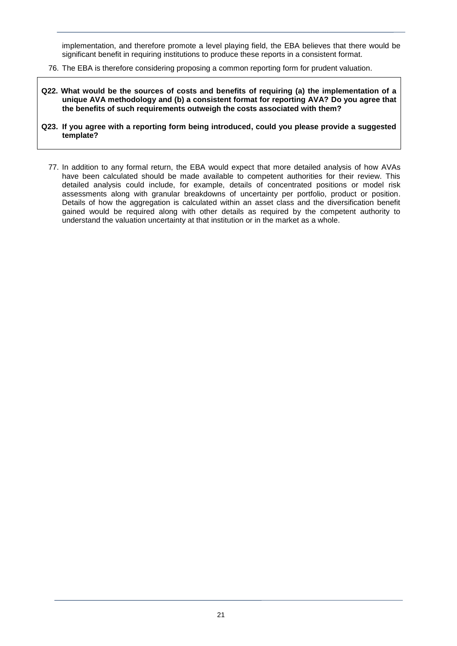implementation, and therefore promote a level playing field, the EBA believes that there would be significant benefit in requiring institutions to produce these reports in a consistent format.

- 76. The EBA is therefore considering proposing a common reporting form for prudent valuation.
- **Q22. What would be the sources of costs and benefits of requiring (a) the implementation of a unique AVA methodology and (b) a consistent format for reporting AVA? Do you agree that the benefits of such requirements outweigh the costs associated with them?**
- **Q23. If you agree with a reporting form being introduced, could you please provide a suggested template?**
	- 77. In addition to any formal return, the EBA would expect that more detailed analysis of how AVAs have been calculated should be made available to competent authorities for their review. This detailed analysis could include, for example, details of concentrated positions or model risk assessments along with granular breakdowns of uncertainty per portfolio, product or position. Details of how the aggregation is calculated within an asset class and the diversification benefit gained would be required along with other details as required by the competent authority to understand the valuation uncertainty at that institution or in the market as a whole.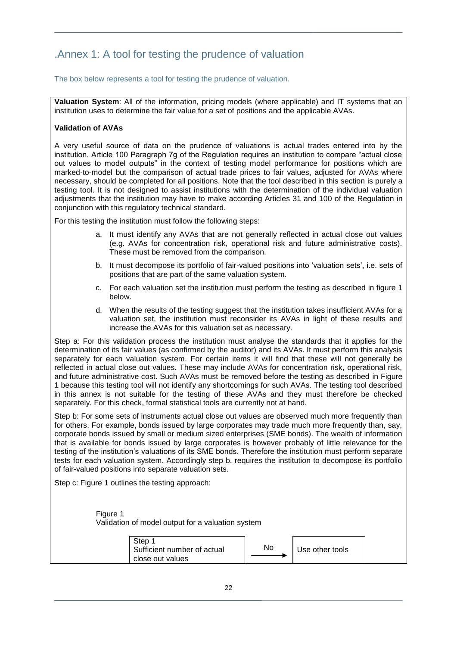# .Annex 1: A tool for testing the prudence of valuation

The box below represents a tool for testing the prudence of valuation.

**Valuation System**: All of the information, pricing models (where applicable) and IT systems that an institution uses to determine the fair value for a set of positions and the applicable AVAs.

#### **Validation of AVAs**

A very useful source of data on the prudence of valuations is actual trades entered into by the institution. Article 100 Paragraph 7g of the Regulation requires an institution to compare "actual close out values to model outputs" in the context of testing model performance for positions which are marked-to-model but the comparison of actual trade prices to fair values, adjusted for AVAs where necessary, should be completed for all positions. Note that the tool described in this section is purely a testing tool. It is not designed to assist institutions with the determination of the individual valuation adjustments that the institution may have to make according Articles 31 and 100 of the Regulation in conjunction with this regulatory technical standard.

For this testing the institution must follow the following steps:

- a. It must identify any AVAs that are not generally reflected in actual close out values (e.g. AVAs for concentration risk, operational risk and future administrative costs). These must be removed from the comparison.
- b. It must decompose its portfolio of fair-valued positions into 'valuation sets', i.e. sets of positions that are part of the same valuation system.
- c. For each valuation set the institution must perform the testing as described in figure 1 below.
- d. When the results of the testing suggest that the institution takes insufficient AVAs for a valuation set, the institution must reconsider its AVAs in light of these results and increase the AVAs for this valuation set as necessary.

Step a: For this validation process the institution must analyse the standards that it applies for the determination of its fair values (as confirmed by the auditor) and its AVAs. It must perform this analysis separately for each valuation system. For certain items it will find that these will not generally be reflected in actual close out values. These may include AVAs for concentration risk, operational risk, and future administrative cost. Such AVAs must be removed before the testing as described in Figure 1 because this testing tool will not identify any shortcomings for such AVAs. The testing tool described in this annex is not suitable for the testing of these AVAs and they must therefore be checked separately. For this check, formal statistical tools are currently not at hand.

Step b: For some sets of instruments actual close out values are observed much more frequently than for others. For example, bonds issued by large corporates may trade much more frequently than, say, corporate bonds issued by small or medium sized enterprises (SME bonds). The wealth of information that is available for bonds issued by large corporates is however probably of little relevance for the testing of the institution's valuations of its SME bonds. Therefore the institution must perform separate tests for each valuation system. Accordingly step b. requires the institution to decompose its portfolio of fair-valued positions into separate valuation sets.

Step c: Figure 1 outlines the testing approach:

Figure 1 Validation of model output for a valuation system

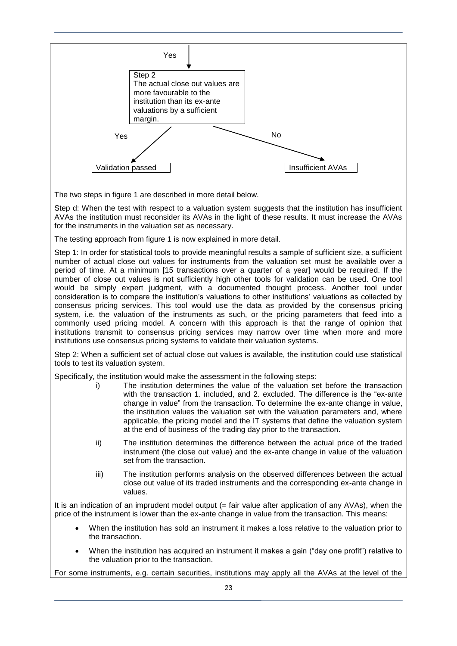

The two steps in figure 1 are described in more detail below.

Step d: When the test with respect to a valuation system suggests that the institution has insufficient AVAs the institution must reconsider its AVAs in the light of these results. It must increase the AVAs for the instruments in the valuation set as necessary.

The testing approach from figure 1 is now explained in more detail.

Step 1: In order for statistical tools to provide meaningful results a sample of sufficient size, a sufficient number of actual close out values for instruments from the valuation set must be available over a period of time. At a minimum [15 transactions over a quarter of a year] would be required. If the number of close out values is not sufficiently high other tools for validation can be used. One tool would be simply expert judgment, with a documented thought process. Another tool under consideration is to compare the institution's valuations to other institutions' valuations as collected by consensus pricing services. This tool would use the data as provided by the consensus pricing system, i.e. the valuation of the instruments as such, or the pricing parameters that feed into a commonly used pricing model. A concern with this approach is that the range of opinion that institutions transmit to consensus pricing services may narrow over time when more and more institutions use consensus pricing systems to validate their valuation systems.

Step 2: When a sufficient set of actual close out values is available, the institution could use statistical tools to test its valuation system.

Specifically, the institution would make the assessment in the following steps:

- i) The institution determines the value of the valuation set before the transaction with the transaction 1. included, and 2. excluded. The difference is the "ex-ante change in value" from the transaction. To determine the ex-ante change in value, the institution values the valuation set with the valuation parameters and, where applicable, the pricing model and the IT systems that define the valuation system at the end of business of the trading day prior to the transaction.
- ii) The institution determines the difference between the actual price of the traded instrument (the close out value) and the ex-ante change in value of the valuation set from the transaction.
- iii) The institution performs analysis on the observed differences between the actual close out value of its traded instruments and the corresponding ex-ante change in values.

It is an indication of an imprudent model output (= fair value after application of any AVAs), when the price of the instrument is lower than the ex-ante change in value from the transaction. This means:

- When the institution has sold an instrument it makes a loss relative to the valuation prior to the transaction.
- When the institution has acquired an instrument it makes a gain ("day one profit") relative to the valuation prior to the transaction.

For some instruments, e.g. certain securities, institutions may apply all the AVAs at the level of the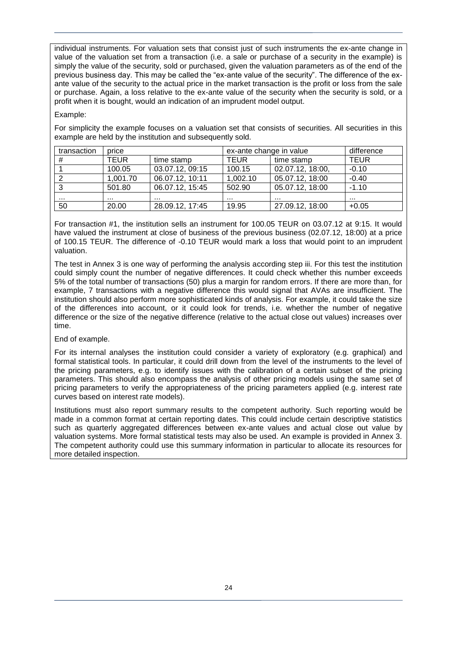individual instruments. For valuation sets that consist just of such instruments the ex-ante change in value of the valuation set from a transaction (i.e. a sale or purchase of a security in the example) is simply the value of the security, sold or purchased, given the valuation parameters as of the end of the previous business day. This may be called the "ex-ante value of the security". The difference of the exante value of the security to the actual price in the market transaction is the profit or loss from the sale or purchase. Again, a loss relative to the ex-ante value of the security when the security is sold, or a profit when it is bought, would an indication of an imprudent model output.

#### Example:

For simplicity the example focuses on a valuation set that consists of securities. All securities in this example are held by the institution and subsequently sold.

| transaction | price       |                 | ex-ante change in value |                  | difference  |
|-------------|-------------|-----------------|-------------------------|------------------|-------------|
| #           | <b>TEUR</b> | time stamp      | <b>TEUR</b>             | time stamp       | <b>TEUR</b> |
|             | 100.05      | 03.07.12, 09:15 | 100.15                  | 02.07.12, 18:00, | $-0.10$     |
|             | 1,001.70    | 06.07.12, 10:11 | 1,002.10                | 05.07.12, 18:00  | $-0.40$     |
| ີ           | 501.80      | 06.07.12, 15:45 | 502.90                  | 05.07.12, 18:00  | $-1.10$     |
|             |             | .               |                         |                  |             |
| 50          | 20.00       | 28.09.12.17:45  | 19.95                   | 27.09.12, 18:00  | $+0.05$     |

For transaction #1, the institution sells an instrument for 100.05 TEUR on 03.07.12 at 9:15. It would have valued the instrument at close of business of the previous business (02.07.12, 18:00) at a price of 100.15 TEUR. The difference of -0.10 TEUR would mark a loss that would point to an imprudent valuation.

The test in Annex 3 is one way of performing the analysis according step iii. For this test the institution could simply count the number of negative differences. It could check whether this number exceeds 5% of the total number of transactions (50) plus a margin for random errors. If there are more than, for example, 7 transactions with a negative difference this would signal that AVAs are insufficient. The institution should also perform more sophisticated kinds of analysis. For example, it could take the size of the differences into account, or it could look for trends, i.e. whether the number of negative difference or the size of the negative difference (relative to the actual close out values) increases over time.

End of example.

For its internal analyses the institution could consider a variety of exploratory (e.g. graphical) and formal statistical tools. In particular, it could drill down from the level of the instruments to the level of the pricing parameters, e.g. to identify issues with the calibration of a certain subset of the pricing parameters. This should also encompass the analysis of other pricing models using the same set of pricing parameters to verify the appropriateness of the pricing parameters applied (e.g. interest rate curves based on interest rate models).

Institutions must also report summary results to the competent authority. Such reporting would be made in a common format at certain reporting dates. This could include certain descriptive statistics such as quarterly aggregated differences between ex-ante values and actual close out value by valuation systems. More formal statistical tests may also be used. An example is provided in Annex 3. The competent authority could use this summary information in particular to allocate its resources for more detailed inspection.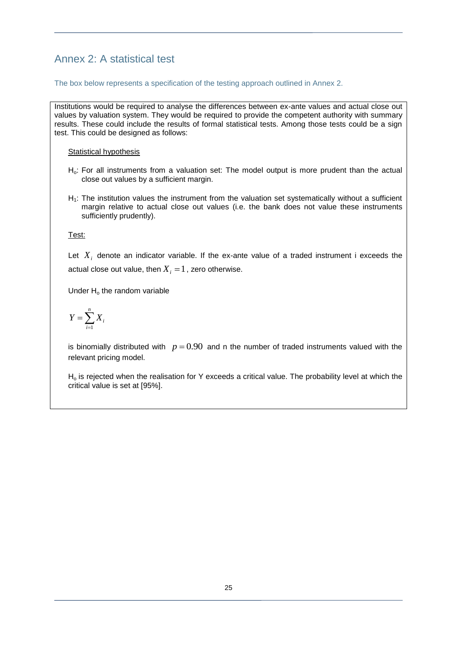# Annex 2: A statistical test

#### The box below represents a specification of the testing approach outlined in Annex 2.

Institutions would be required to analyse the differences between ex-ante values and actual close out values by valuation system. They would be required to provide the competent authority with summary results. These could include the results of formal statistical tests. Among those tests could be a sign test. This could be designed as follows:

Statistical hypothesis

- Ho: For all instruments from a valuation set: The model output is more prudent than the actual close out values by a sufficient margin.
- $H_1$ : The institution values the instrument from the valuation set systematically without a sufficient margin relative to actual close out values (i.e. the bank does not value these instruments sufficiently prudently).

Test:

Let  $X_i$  denote an indicator variable. If the ex-ante value of a traded instrument i exceeds the actual close out value, then  $X^{\vphantom{\dagger}}_i = 1$  , zero otherwise.

Under  $H_0$  the random variable

$$
Y = \sum_{i=1}^{n} X_i
$$

is binomially distributed with  $p = 0.90$  and n the number of traded instruments valued with the relevant pricing model.

 $H<sub>o</sub>$  is rejected when the realisation for Y exceeds a critical value. The probability level at which the critical value is set at [95%].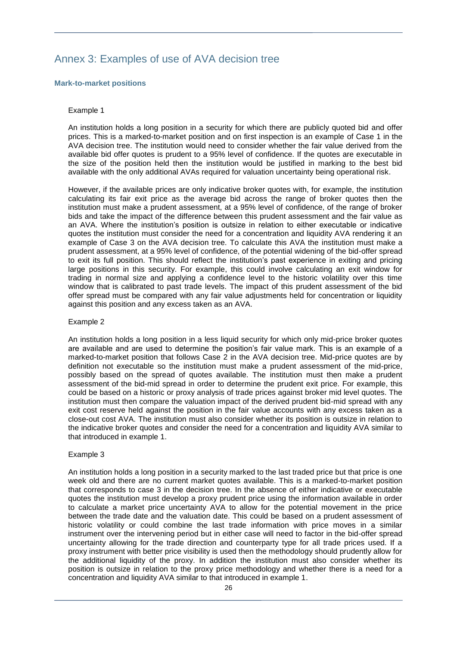# Annex 3: Examples of use of AVA decision tree

#### **Mark-to-market positions**

#### Example 1

An institution holds a long position in a security for which there are publicly quoted bid and offer prices. This is a marked-to-market position and on first inspection is an example of Case 1 in the AVA decision tree. The institution would need to consider whether the fair value derived from the available bid offer quotes is prudent to a 95% level of confidence. If the quotes are executable in the size of the position held then the institution would be justified in marking to the best bid available with the only additional AVAs required for valuation uncertainty being operational risk.

However, if the available prices are only indicative broker quotes with, for example, the institution calculating its fair exit price as the average bid across the range of broker quotes then the institution must make a prudent assessment, at a 95% level of confidence, of the range of broker bids and take the impact of the difference between this prudent assessment and the fair value as an AVA. Where the institution's position is outsize in relation to either executable or indicative quotes the institution must consider the need for a concentration and liquidity AVA rendering it an example of Case 3 on the AVA decision tree. To calculate this AVA the institution must make a prudent assessment, at a 95% level of confidence, of the potential widening of the bid-offer spread to exit its full position. This should reflect the institution's past experience in exiting and pricing large positions in this security. For example, this could involve calculating an exit window for trading in normal size and applying a confidence level to the historic volatility over this time window that is calibrated to past trade levels. The impact of this prudent assessment of the bid offer spread must be compared with any fair value adjustments held for concentration or liquidity against this position and any excess taken as an AVA.

#### Example 2

An institution holds a long position in a less liquid security for which only mid-price broker quotes are available and are used to determine the position's fair value mark. This is an example of a marked-to-market position that follows Case 2 in the AVA decision tree. Mid-price quotes are by definition not executable so the institution must make a prudent assessment of the mid-price, possibly based on the spread of quotes available. The institution must then make a prudent assessment of the bid-mid spread in order to determine the prudent exit price. For example, this could be based on a historic or proxy analysis of trade prices against broker mid level quotes. The institution must then compare the valuation impact of the derived prudent bid-mid spread with any exit cost reserve held against the position in the fair value accounts with any excess taken as a close-out cost AVA. The institution must also consider whether its position is outsize in relation to the indicative broker quotes and consider the need for a concentration and liquidity AVA similar to that introduced in example 1.

#### Example 3

An institution holds a long position in a security marked to the last traded price but that price is one week old and there are no current market quotes available. This is a marked-to-market position that corresponds to case 3 in the decision tree. In the absence of either indicative or executable quotes the institution must develop a proxy prudent price using the information available in order to calculate a market price uncertainty AVA to allow for the potential movement in the price between the trade date and the valuation date. This could be based on a prudent assessment of historic volatility or could combine the last trade information with price moves in a similar instrument over the intervening period but in either case will need to factor in the bid-offer spread uncertainty allowing for the trade direction and counterparty type for all trade prices used. If a proxy instrument with better price visibility is used then the methodology should prudently allow for the additional liquidity of the proxy. In addition the institution must also consider whether its position is outsize in relation to the proxy price methodology and whether there is a need for a concentration and liquidity AVA similar to that introduced in example 1.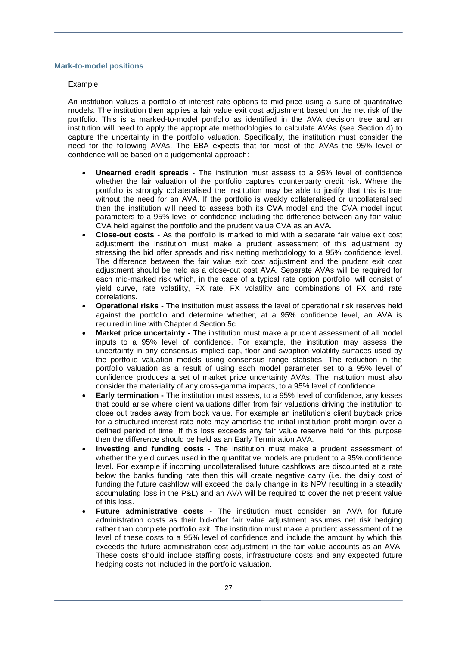#### **Mark-to-model positions**

#### Example

An institution values a portfolio of interest rate options to mid-price using a suite of quantitative models. The institution then applies a fair value exit cost adjustment based on the net risk of the portfolio. This is a marked-to-model portfolio as identified in the AVA decision tree and an institution will need to apply the appropriate methodologies to calculate AVAs (see Section 4) to capture the uncertainty in the portfolio valuation. Specifically, the institution must consider the need for the following AVAs. The EBA expects that for most of the AVAs the 95% level of confidence will be based on a judgemental approach:

- **Unearned credit spreads** The institution must assess to a 95% level of confidence whether the fair valuation of the portfolio captures counterparty credit risk. Where the portfolio is strongly collateralised the institution may be able to justify that this is true without the need for an AVA. If the portfolio is weakly collateralised or uncollateralised then the institution will need to assess both its CVA model and the CVA model input parameters to a 95% level of confidence including the difference between any fair value CVA held against the portfolio and the prudent value CVA as an AVA.
- **Close-out costs -** As the portfolio is marked to mid with a separate fair value exit cost adjustment the institution must make a prudent assessment of this adjustment by stressing the bid offer spreads and risk netting methodology to a 95% confidence level. The difference between the fair value exit cost adjustment and the prudent exit cost adjustment should be held as a close-out cost AVA. Separate AVAs will be required for each mid-marked risk which, in the case of a typical rate option portfolio, will consist of yield curve, rate volatility, FX rate, FX volatility and combinations of FX and rate correlations.
- **Operational risks -** The institution must assess the level of operational risk reserves held against the portfolio and determine whether, at a 95% confidence level, an AVA is required in line with Chapter 4 Section 5c.
- **Market price uncertainty -** The institution must make a prudent assessment of all model inputs to a 95% level of confidence. For example, the institution may assess the uncertainty in any consensus implied cap, floor and swaption volatility surfaces used by the portfolio valuation models using consensus range statistics. The reduction in the portfolio valuation as a result of using each model parameter set to a 95% level of confidence produces a set of market price uncertainty AVAs. The institution must also consider the materiality of any cross-gamma impacts, to a 95% level of confidence.
- **Early termination -** The institution must assess, to a 95% level of confidence, any losses that could arise where client valuations differ from fair valuations driving the institution to close out trades away from book value. For example an institution's client buyback price for a structured interest rate note may amortise the initial institution profit margin over a defined period of time. If this loss exceeds any fair value reserve held for this purpose then the difference should be held as an Early Termination AVA.
- **Investing and funding costs -** The institution must make a prudent assessment of whether the yield curves used in the quantitative models are prudent to a 95% confidence level. For example if incoming uncollateralised future cashflows are discounted at a rate below the banks funding rate then this will create negative carry (i.e. the daily cost of funding the future cashflow will exceed the daily change in its NPV resulting in a steadily accumulating loss in the P&L) and an AVA will be required to cover the net present value of this loss.
- **Future administrative costs -** The institution must consider an AVA for future administration costs as their bid-offer fair value adjustment assumes net risk hedging rather than complete portfolio exit. The institution must make a prudent assessment of the level of these costs to a 95% level of confidence and include the amount by which this exceeds the future administration cost adjustment in the fair value accounts as an AVA. These costs should include staffing costs, infrastructure costs and any expected future hedging costs not included in the portfolio valuation.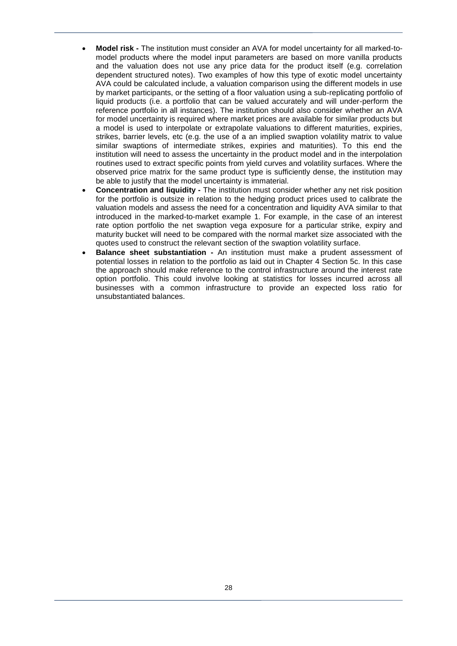- **Model risk -** The institution must consider an AVA for model uncertainty for all marked-tomodel products where the model input parameters are based on more vanilla products and the valuation does not use any price data for the product itself (e.g. correlation dependent structured notes). Two examples of how this type of exotic model uncertainty AVA could be calculated include, a valuation comparison using the different models in use by market participants, or the setting of a floor valuation using a sub-replicating portfolio of liquid products (i.e. a portfolio that can be valued accurately and will under-perform the reference portfolio in all instances). The institution should also consider whether an AVA for model uncertainty is required where market prices are available for similar products but a model is used to interpolate or extrapolate valuations to different maturities, expiries, strikes, barrier levels, etc (e.g. the use of a an implied swaption volatility matrix to value similar swaptions of intermediate strikes, expiries and maturities). To this end the institution will need to assess the uncertainty in the product model and in the interpolation routines used to extract specific points from yield curves and volatility surfaces. Where the observed price matrix for the same product type is sufficiently dense, the institution may be able to justify that the model uncertainty is immaterial.
- **Concentration and liquidity -** The institution must consider whether any net risk position for the portfolio is outsize in relation to the hedging product prices used to calibrate the valuation models and assess the need for a concentration and liquidity AVA similar to that introduced in the marked-to-market example 1. For example, in the case of an interest rate option portfolio the net swaption vega exposure for a particular strike, expiry and maturity bucket will need to be compared with the normal market size associated with the quotes used to construct the relevant section of the swaption volatility surface.
- **Balance sheet substantiation -** An institution must make a prudent assessment of potential losses in relation to the portfolio as laid out in Chapter 4 Section 5c. In this case the approach should make reference to the control infrastructure around the interest rate option portfolio. This could involve looking at statistics for losses incurred across all businesses with a common infrastructure to provide an expected loss ratio for unsubstantiated balances.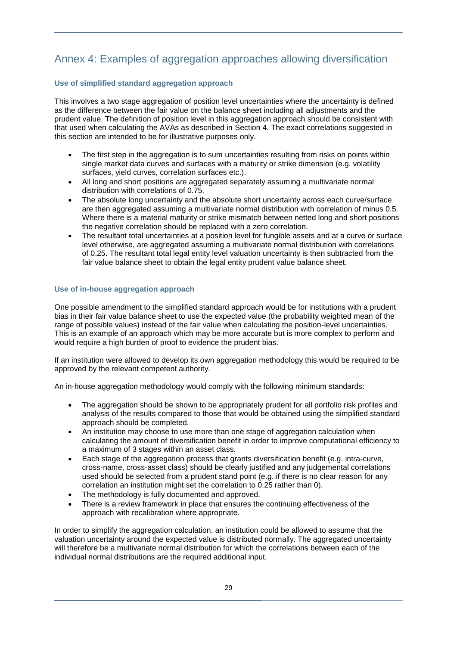# Annex 4: Examples of aggregation approaches allowing diversification

#### **Use of simplified standard aggregation approach**

This involves a two stage aggregation of position level uncertainties where the uncertainty is defined as the difference between the fair value on the balance sheet including all adjustments and the prudent value. The definition of position level in this aggregation approach should be consistent with that used when calculating the AVAs as described in Section 4. The exact correlations suggested in this section are intended to be for illustrative purposes only.

- The first step in the aggregation is to sum uncertainties resulting from risks on points within single market data curves and surfaces with a maturity or strike dimension (e.g. volatility surfaces, yield curves, correlation surfaces etc.).
- All long and short positions are aggregated separately assuming a multivariate normal distribution with correlations of 0.75.
- The absolute long uncertainty and the absolute short uncertainty across each curve/surface are then aggregated assuming a multivariate normal distribution with correlation of minus 0.5. Where there is a material maturity or strike mismatch between netted long and short positions the negative correlation should be replaced with a zero correlation.
- The resultant total uncertainties at a position level for fungible assets and at a curve or surface level otherwise, are aggregated assuming a multivariate normal distribution with correlations of 0.25. The resultant total legal entity level valuation uncertainty is then subtracted from the fair value balance sheet to obtain the legal entity prudent value balance sheet.

#### **Use of in-house aggregation approach**

One possible amendment to the simplified standard approach would be for institutions with a prudent bias in their fair value balance sheet to use the expected value (the probability weighted mean of the range of possible values) instead of the fair value when calculating the position-level uncertainties. This is an example of an approach which may be more accurate but is more complex to perform and would require a high burden of proof to evidence the prudent bias.

If an institution were allowed to develop its own aggregation methodology this would be required to be approved by the relevant competent authority.

An in-house aggregation methodology would comply with the following minimum standards:

- The aggregation should be shown to be appropriately prudent for all portfolio risk profiles and analysis of the results compared to those that would be obtained using the simplified standard approach should be completed.
- An institution may choose to use more than one stage of aggregation calculation when calculating the amount of diversification benefit in order to improve computational efficiency to a maximum of 3 stages within an asset class.
- Each stage of the aggregation process that grants diversification benefit (e.g. intra-curve, cross-name, cross-asset class) should be clearly justified and any judgemental correlations used should be selected from a prudent stand point (e.g. if there is no clear reason for any correlation an institution might set the correlation to 0.25 rather than 0).
- The methodology is fully documented and approved.
- There is a review framework in place that ensures the continuing effectiveness of the approach with recalibration where appropriate.

In order to simplify the aggregation calculation, an institution could be allowed to assume that the valuation uncertainty around the expected value is distributed normally. The aggregated uncertainty will therefore be a multivariate normal distribution for which the correlations between each of the individual normal distributions are the required additional input.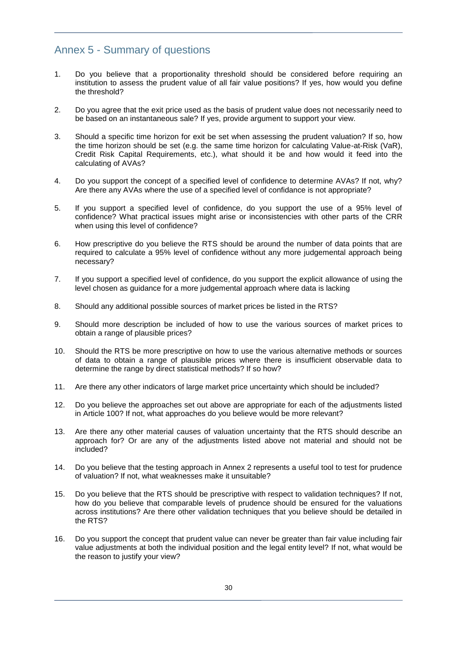# Annex 5 - Summary of questions

- 1. Do you believe that a proportionality threshold should be considered before requiring an institution to assess the prudent value of all fair value positions? If yes, how would you define the threshold?
- 2. Do you agree that the exit price used as the basis of prudent value does not necessarily need to be based on an instantaneous sale? If yes, provide argument to support your view.
- 3. Should a specific time horizon for exit be set when assessing the prudent valuation? If so, how the time horizon should be set (e.g. the same time horizon for calculating Value-at-Risk (VaR), Credit Risk Capital Requirements, etc.), what should it be and how would it feed into the calculating of AVAs?
- 4. Do you support the concept of a specified level of confidence to determine AVAs? If not, why? Are there any AVAs where the use of a specified level of confidance is not appropriate?
- 5. If you support a specified level of confidence, do you support the use of a 95% level of confidence? What practical issues might arise or inconsistencies with other parts of the CRR when using this level of confidence?
- 6. How prescriptive do you believe the RTS should be around the number of data points that are required to calculate a 95% level of confidence without any more judgemental approach being necessary?
- 7. If you support a specified level of confidence, do you support the explicit allowance of using the level chosen as guidance for a more judgemental approach where data is lacking
- 8. Should any additional possible sources of market prices be listed in the RTS?
- 9. Should more description be included of how to use the various sources of market prices to obtain a range of plausible prices?
- 10. Should the RTS be more prescriptive on how to use the various alternative methods or sources of data to obtain a range of plausible prices where there is insufficient observable data to determine the range by direct statistical methods? If so how?
- 11. Are there any other indicators of large market price uncertainty which should be included?
- 12. Do you believe the approaches set out above are appropriate for each of the adjustments listed in Article 100? If not, what approaches do you believe would be more relevant?
- 13. Are there any other material causes of valuation uncertainty that the RTS should describe an approach for? Or are any of the adjustments listed above not material and should not be included?
- 14. Do you believe that the testing approach in Annex 2 represents a useful tool to test for prudence of valuation? If not, what weaknesses make it unsuitable?
- 15. Do you believe that the RTS should be prescriptive with respect to validation techniques? If not, how do you believe that comparable levels of prudence should be ensured for the valuations across institutions? Are there other validation techniques that you believe should be detailed in the RTS?
- 16. Do you support the concept that prudent value can never be greater than fair value including fair value adjustments at both the individual position and the legal entity level? If not, what would be the reason to justify your view?